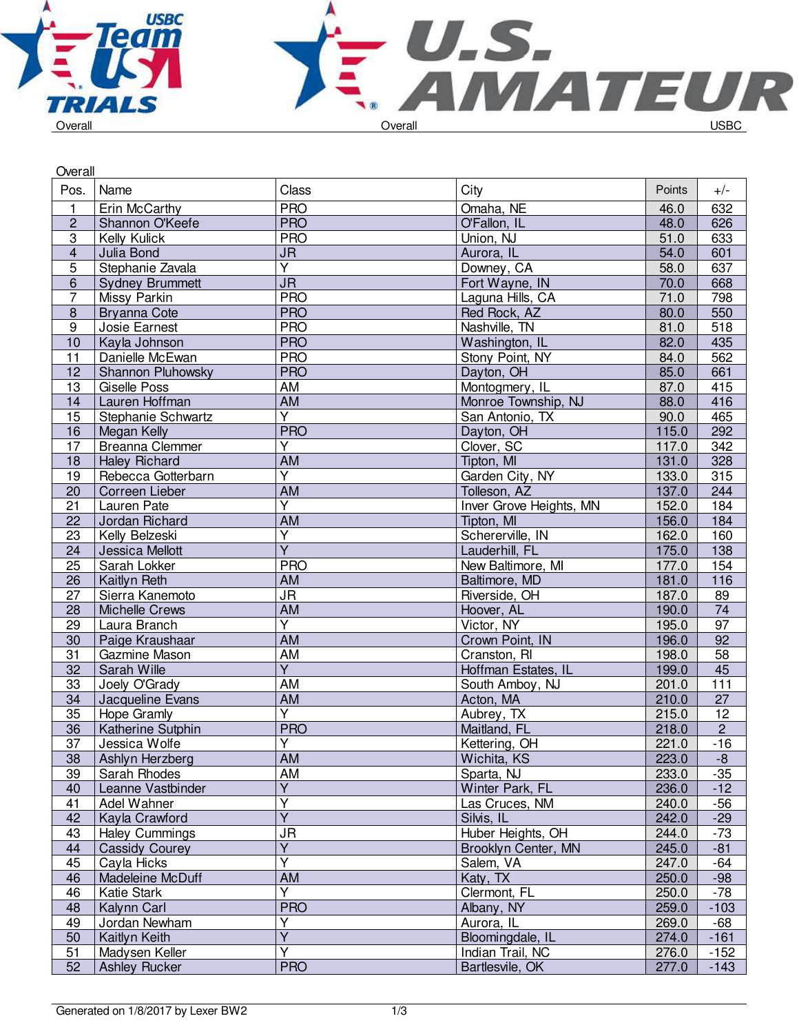

| Overall         |                               |                                   |                                |                |                  |
|-----------------|-------------------------------|-----------------------------------|--------------------------------|----------------|------------------|
| Pos.            | Name                          | Class                             | City                           | <b>Points</b>  | $+/-$            |
| 1               | Erin McCarthy                 | <b>PRO</b>                        | Omaha, NE                      | 46.0           | 632              |
| $\overline{c}$  | Shannon O'Keefe               | <b>PRO</b>                        | O'Fallon, IL                   | 48.0           | 626              |
| $\overline{3}$  | Kelly Kulick                  | <b>PRO</b>                        | Union, NJ                      | 51.0           | 633              |
| $\overline{4}$  | Julia Bond                    | $\overline{\mathsf{J}\mathsf{R}}$ | Aurora, IL                     | 54.0           | 601              |
| $\overline{5}$  | Stephanie Zavala              | $\overline{Y}$                    | Downey, CA                     | 58.0           | 637              |
| 6               | <b>Sydney Brummett</b>        | <b>JR</b>                         | Fort Wayne, IN                 | 70.0           | 668              |
| $\overline{7}$  | Missy Parkin                  | <b>PRO</b>                        | Laguna Hills, CA               | 71.0           | 798              |
| $\bf 8$         | <b>Bryanna Cote</b>           | <b>PRO</b>                        | Red Rock, AZ                   | 80.0           | 550              |
| $\overline{9}$  | Josie Earnest                 | <b>PRO</b>                        | Nashville, TN                  | 81.0           | 518              |
| 10              | Kayla Johnson                 | <b>PRO</b>                        | Washington, IL                 | 82.0           | 435              |
| 11              | Danielle McEwan               | <b>PRO</b>                        | Stony Point, NY                | 84.0           | 562              |
| 12              | Shannon Pluhowsky             | <b>PRO</b>                        | Dayton, OH                     | 85.0           | 661              |
| 13              | <b>Giselle Poss</b>           | AM                                | Montogmery, IL                 | 87.0           | 415              |
| 14              | Lauren Hoffman                | <b>AM</b>                         | Monroe Township, NJ            | 88.0           | 416              |
| 15              | Stephanie Schwartz            | $\overline{Y}$                    | San Antonio, TX                | 90.0           | 465              |
| 16              | <b>Megan Kelly</b>            | <b>PRO</b>                        | Dayton, OH                     | 115.0          | 292              |
| $\overline{17}$ | <b>Breanna Clemmer</b>        | $\overline{\mathsf{Y}}$           | Clover, SC                     | 117.0          | 342              |
| 18              | <b>Haley Richard</b>          | <b>AM</b>                         | Tipton, MI                     | 131.0          | 328              |
| 19              | Rebecca Gotterbarn            | $\overline{Y}$                    | Garden City, NY                | 133.0          | 315              |
| 20              | Correen Lieber                | AM                                | Tolleson, AZ                   | 137.0          | 244              |
|                 |                               | $\overline{\mathsf{Y}}$           |                                |                |                  |
| 21              | Lauren Pate<br>Jordan Richard | <b>AM</b>                         | <b>Inver Grove Heights, MN</b> | 152.0<br>156.0 | 184<br>184       |
| 22              |                               |                                   | Tipton, MI                     |                |                  |
| 23              | Kelly Belzeski                | Ÿ<br>$\overline{\mathsf{Y}}$      | Schererville, IN               | 162.0          | 160              |
| 24              | Jessica Mellott               |                                   | Lauderhill, FL                 | 175.0          | $\overline{138}$ |
| 25              | Sarah Lokker                  | <b>PRO</b>                        | New Baltimore, MI              | 177.0          | 154              |
| 26              | Kaitlyn Reth                  | AM                                | Baltimore, MD                  | 181.0          | 116              |
| 27              | Sierra Kanemoto               | $\overline{\mathsf{J}\mathsf{R}}$ | Riverside, OH                  | 187.0          | 89               |
| 28              | <b>Michelle Crews</b>         | <b>AM</b>                         | Hoover, AL                     | 190.0          | 74               |
| 29              | Laura Branch                  | $\overline{\mathsf{Y}}$           | Victor, NY                     | 195.0          | $\overline{97}$  |
| 30              | Paige Kraushaar               | <b>AM</b>                         | Crown Point, IN                | 196.0          | $\overline{92}$  |
| 31              | Gazmine Mason                 | AM                                | Cranston, RI                   | 198.0          | 58               |
| 32              | Sarah Wille                   | $\overline{Y}$                    | Hoffman Estates, IL            | 199.0          | 45               |
| 33              | Joely O'Grady                 | AM                                | South Amboy, NJ                | 201.0          | 111              |
| 34              | Jacqueline Evans              | <b>AM</b>                         | Acton, MA                      | 210.0          | $\overline{27}$  |
| 35              | Hope Gramly                   | $\overline{\mathsf{Y}}$           | Aubrey, TX                     | 215.0          | $\overline{12}$  |
| 36              | Katherine Sutphin             | <b>PRO</b>                        | Maitland, FL                   | 218.0          | $\overline{c}$   |
| $\overline{37}$ | Jessica Wolfe                 | Υ                                 | Kettering, OH                  | 221.0          | $-16$            |
| 38              | Ashlyn Herzberg               | AM                                | Wichita, KS                    | 223.0          | $-8$             |
| 39              | Sarah Rhodes                  | AM                                | Sparta, NJ                     | 233.0          | $-35$            |
| 40              | Leanne Vastbinder             | $\overline{\mathsf{Y}}$           | Winter Park, FL                | 236.0          | $-12$            |
| 41              | Adel Wahner                   | Y                                 | Las Cruces, NM                 | 240.0          | $-56$            |
| 42              | Kayla Crawford                | $\overline{Y}$                    | Silvis, IL                     | 242.0          | $-29$            |
| 43              | <b>Haley Cummings</b>         | <b>JR</b>                         | Huber Heights, OH              | 244.0          | $-73$            |
| 44              | <b>Cassidy Courey</b>         | Ÿ                                 | Brooklyn Center, MN            | 245.0          | $-81$            |
| 45              | Cayla Hicks                   | Y                                 | Salem, VA                      | 247.0          | -64              |
| 46              | Madeleine McDuff              | AM                                | Katy, TX                       | 250.0          | $-98$            |
| 46              | Katie Stark                   | Y                                 | Clermont, FL                   | 250.0          | $-78$            |
| 48              | Kalynn Carl                   | <b>PRO</b>                        | Albany, NY                     | 259.0          | $-103$           |
| 49              | Jordan Newham                 | Ý                                 | Aurora, IL                     | 269.0          | -68              |
| 50              | Kaitlyn Keith                 | $\overline{\mathsf{Y}}$           | Bloomingdale, IL               | 274.0          | $-161$           |
| 51              | Madysen Keller                | Ý                                 | Indian Trail, NC               | 276.0          | $-152$           |
| 52              | <b>Ashley Rucker</b>          | <b>PRO</b>                        | Bartlesvile, OK                | 277.0          | $-143$           |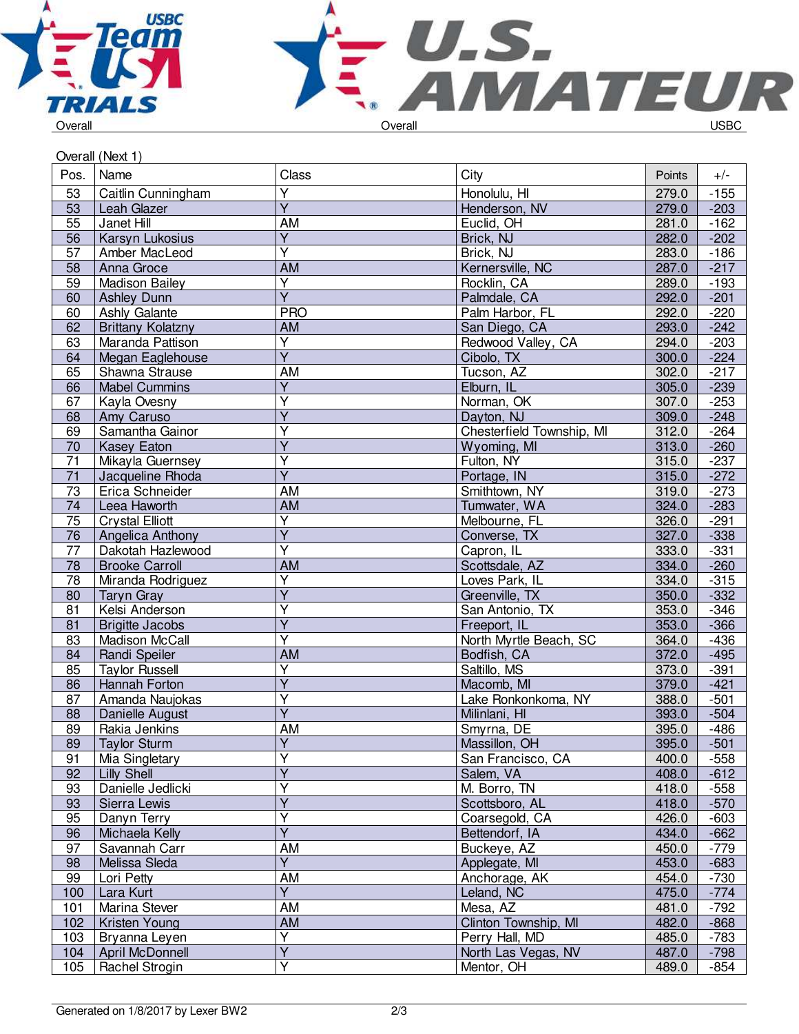



| Pos.            | Name                     | Class                   | City                      | Points | $+/-$  |
|-----------------|--------------------------|-------------------------|---------------------------|--------|--------|
| 53              | Caitlin Cunningham       | $\overline{Y}$          | Honolulu, HI              | 279.0  | $-155$ |
| 53              | Leah Glazer              | $\overline{Y}$          | Henderson, NV             | 279.0  | $-203$ |
| 55              | Janet Hill               | AM                      | Euclid, OH                | 281.0  | $-162$ |
| 56              | Karsyn Lukosius          | $\overline{Y}$          | Brick, NJ                 | 282.0  | $-202$ |
| 57              | Amber MacLeod            | Ÿ                       | Brick, NJ                 | 283.0  | $-186$ |
| 58              | Anna Groce               | AM                      | Kernersville, NC          | 287.0  | $-217$ |
| 59              | <b>Madison Bailey</b>    | Υ                       | Rocklin, CA               | 289.0  | $-193$ |
| 60              | <b>Ashley Dunn</b>       | $\overline{\mathsf{Y}}$ | Palmdale, CA              | 292.0  | $-201$ |
| 60              | Ashly Galante            | <b>PRO</b>              | Palm Harbor, FL           | 292.0  | $-220$ |
| 62              | <b>Brittany Kolatzny</b> | AM                      | San Diego, CA             | 293.0  | $-242$ |
| 63              | Maranda Pattison         | $\overline{Y}$          | Redwood Valley, CA        | 294.0  | $-203$ |
| 64              | Megan Eaglehouse         | $\overline{Y}$          | Cibolo, TX                | 300.0  | $-224$ |
| 65              | Shawna Strause           | AM                      | Tucson, AZ                | 302.0  | $-217$ |
| 66              | <b>Mabel Cummins</b>     | $\overline{Y}$          | Elburn, IL                | 305.0  | $-239$ |
| 67              | Kayla Ovesny             | Y                       | Norman, OK                | 307.0  | $-253$ |
| 68              | Amy Caruso               | Y                       | Dayton, NJ                | 309.0  | $-248$ |
| 69              | Samantha Gainor          | Υ                       | Chesterfield Township, MI | 312.0  | $-264$ |
| 70              | <b>Kasey Eaton</b>       | $\overline{\mathsf{Y}}$ | Wyoming, MI               | 313.0  | $-260$ |
| 71              | Mikayla Guernsey         | Ÿ                       | Fulton, NY                | 315.0  | $-237$ |
| $\overline{71}$ | Jacqueline Rhoda         | $\overline{Y}$          | Portage, IN               | 315.0  | $-272$ |
| $\overline{73}$ | Erica Schneider          | <b>AM</b>               | Smithtown, NY             | 319.0  | $-273$ |
| 74              | Leea Haworth             | <b>AM</b>               | Tumwater, WA              | 324.0  | $-283$ |
| $\overline{75}$ | <b>Crystal Elliott</b>   | $\overline{\mathsf{Y}}$ | Melbourne, FL             | 326.0  | $-291$ |
| 76              | Angelica Anthony         | $\overline{\mathsf{Y}}$ | Converse, TX              | 327.0  | $-338$ |
| $\overline{77}$ | Dakotah Hazlewood        | $\overline{\mathsf{Y}}$ | Capron, IL                | 333.0  | $-331$ |
| 78              | <b>Brooke Carroll</b>    | <b>AM</b>               | Scottsdale, AZ            | 334.0  | $-260$ |
| 78              | Miranda Rodriguez        | Υ                       | Loves Park, IL            | 334.0  | $-315$ |
| 80              | <b>Taryn Gray</b>        | $\overline{\mathsf{Y}}$ | Greenville, TX            | 350.0  | $-332$ |
| 81              | Kelsi Anderson           | Ÿ                       | San Antonio, TX           | 353.0  | $-346$ |
| 81              | <b>Brigitte Jacobs</b>   | $\overline{\mathsf{Y}}$ | Freeport, IL              | 353.0  | $-366$ |
| 83              | Madison McCall           | Ÿ                       | North Myrtle Beach, SC    | 364.0  | $-436$ |
| 84              | Randi Speiler            | <b>AM</b>               | Bodfish, CA               | 372.0  | $-495$ |
| 85              | <b>Taylor Russell</b>    | $\overline{Y}$          | Saltillo, MS              | 373.0  | $-391$ |
| 86              | Hannah Forton            | $\overline{Y}$          | Macomb, MI                | 379.0  | $-421$ |
| 87              | Amanda Naujokas          | Y                       | Lake Ronkonkoma, NY       | 388.0  | $-501$ |
| 88              | Danielle August          | Ÿ                       | Milinlani, HI             | 393.0  | $-504$ |
| 89              | Rakia Jenkins            | AM                      | Smyrna, DE                | 395.0  | $-486$ |
| 89              | <b>Taylor Sturm</b>      | $\overline{Y}$          | Massillon, OH             | 395.0  | $-501$ |
| 91              | Mia Singletary           | Υ                       | San Francisco, CA         | 400.0  | $-558$ |
| 92              | Lilly Shell              | $\overline{\mathsf{Y}}$ | Salem, VA                 | 408.0  | $-612$ |
| 93              | Danielle Jedlicki        | Ÿ                       | M. Borro, TN              | 418.0  | $-558$ |
| 93              | Sierra Lewis             | Y                       | Scottsboro, AL            | 418.0  | $-570$ |
| 95              | Danyn Terry              | $\overline{\mathsf{Y}}$ | Coarsegold, CA            | 426.0  | $-603$ |
| 96              | Michaela Kelly           | $\overline{\mathsf{Y}}$ | Bettendorf, IA            | 434.0  | $-662$ |
| 97              | Savannah Carr            | AM                      | Buckeye, AZ               | 450.0  | $-779$ |
| 98              | Melissa Sleda            | Y                       | Applegate, MI             | 453.0  | $-683$ |
| 99              | Lori Petty               | AM                      | Anchorage, AK             | 454.0  | $-730$ |
| 100             | Lara Kurt                | $\overline{Y}$          | Leland, NC                | 475.0  | $-774$ |
| 101             | Marina Stever            | AM                      | Mesa, AZ                  | 481.0  | $-792$ |
| 102             | Kristen Young            | <b>AM</b>               | Clinton Township, MI      | 482.0  | $-868$ |
| 103             | Bryanna Leyen            | Y                       | Perry Hall, MD            | 485.0  | $-783$ |
| 104             | <b>April McDonnell</b>   | $\overline{Y}$          | North Las Vegas, NV       | 487.0  | $-798$ |
| 105             | Rachel Strogin           | $\overline{\mathsf{Y}}$ | Mentor, OH                | 489.0  | -854   |
|                 |                          |                         |                           |        |        |